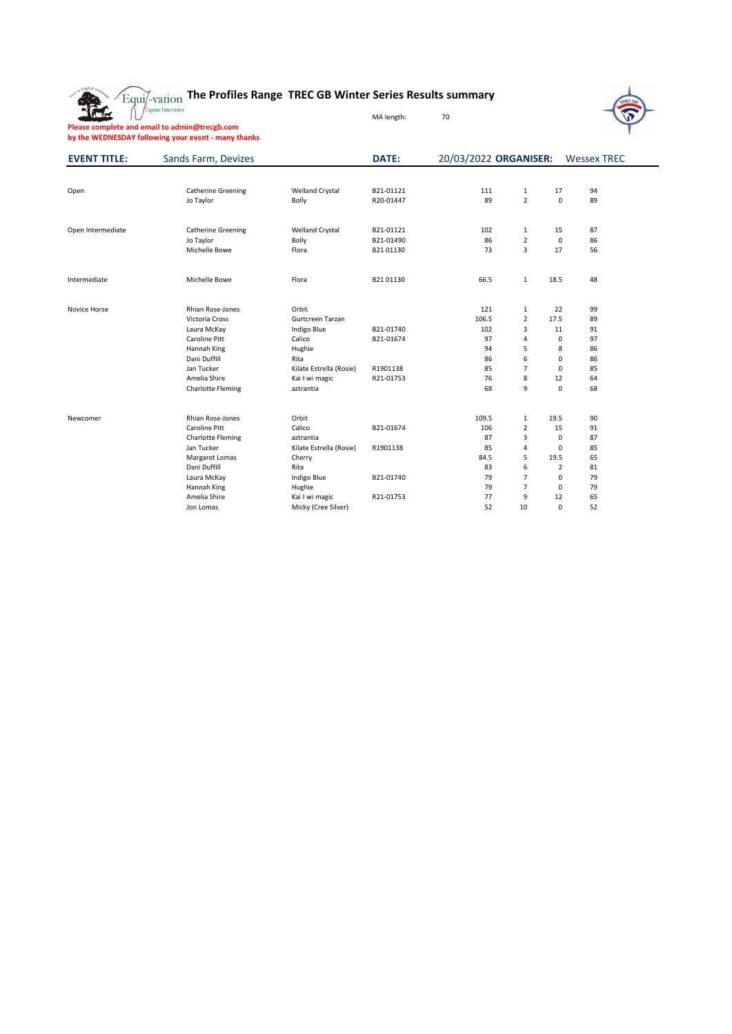

## **The Profiles Range TREC GB Winter Series Results summary**



Equine Innovation

MA length: 70

**Please complete and email to admin@trecgb.com**

**by the WEDNESDAY following your event - many thanks**

| <b>EVENT TITLE:</b> | <b>Sands Farm, Devizes</b> |                         | <b>DATE:</b> | 20/03/2022 ORGANISER: |                  |                | <b>Wessex TREC</b> |  |  |
|---------------------|----------------------------|-------------------------|--------------|-----------------------|------------------|----------------|--------------------|--|--|
|                     |                            |                         |              |                       |                  |                |                    |  |  |
| Open                | <b>Catherine Greening</b>  | <b>Welland Crystal</b>  | B21-01121    | 111                   | $\mathbf{1}$     | 17             | 94                 |  |  |
|                     | Jo Taylor                  | <b>Bolly</b>            | R20-01447    | 89                    | $\overline{2}$   | $\pmb{0}$      | 89                 |  |  |
| Open Intermediate   | <b>Catherine Greening</b>  | <b>Welland Crystal</b>  | B21-01121    | 102                   | $\mathbf{1}$     | 15             | 87                 |  |  |
|                     | Jo Taylor                  | <b>Bolly</b>            | B21-01490    | 86                    | $\overline{2}$   | $\pmb{0}$      | 86                 |  |  |
|                     | Michelle Bowe              | Flora                   | B2101130     | 73                    | $\overline{3}$   | 17             | 56                 |  |  |
| Intermediate        | Michelle Bowe              | Flora                   | B2101130     | 66.5                  | $\mathbf{1}$     | 18.5           | 48                 |  |  |
| Novice Horse        | Rhian Rose-Jones           | Orbit                   |              | 121                   | $\mathbf{1}$     | 22             | 99                 |  |  |
|                     | Victoria Cross             | Gurtcreen Tarzan        |              | 106.5                 | $\overline{2}$   | 17.5           | 89                 |  |  |
|                     | Laura McKay                | Indigo Blue             | B21-01740    | 102                   | 3                | 11             | 91                 |  |  |
|                     | <b>Caroline Pitt</b>       | Calico                  | B21-01674    | 97                    | $\overline{4}$   | $\pmb{0}$      | 97                 |  |  |
|                     | Hannah King                | Hughie                  |              | 94                    | 5                | 8              | 86                 |  |  |
|                     | Dani Duffill               | Rita                    |              | 86                    | $\boldsymbol{6}$ | $\pmb{0}$      | 86                 |  |  |
|                     | Jan Tucker                 | Kilate Estrella (Rosie) | R1901138     | 85                    | $\overline{7}$   | $\mathbf 0$    | 85                 |  |  |
|                     | Amelia Shire               | Kai I wi magic          | R21-01753    | 76                    | $\,8\,$          | 12             | 64                 |  |  |
|                     | <b>Charlotte Fleming</b>   | aztrantia               |              | 68                    | 9                | $\pmb{0}$      | 68                 |  |  |
| Newcomer            | Rhian Rose-Jones           | Orbit                   |              | 109.5                 | $\mathbf{1}$     | 19.5           | 90                 |  |  |
|                     | <b>Caroline Pitt</b>       | Calico                  | B21-01674    | 106                   | $\overline{2}$   | 15             | 91                 |  |  |
|                     | <b>Charlotte Fleming</b>   | aztrantia               |              | 87                    | $\mathbf{3}$     | $\mathbf 0$    | 87                 |  |  |
|                     | Jan Tucker                 | Kilate Estrella (Rosie) | R1901138     | 85                    | $\overline{4}$   | $\mathbf 0$    | 85                 |  |  |
|                     | Margaret Lomas             | Cherry                  |              | 84.5                  | 5                | 19.5           | 65                 |  |  |
|                     | Dani Duffill               | Rita                    |              | 83                    | $\boldsymbol{6}$ | $\overline{2}$ | 81                 |  |  |
|                     | Laura McKay                | Indigo Blue             | B21-01740    | 79                    | $\overline{7}$   | $\pmb{0}$      | 79                 |  |  |
|                     | Hannah King                | Hughie                  |              | 79                    | $\overline{7}$   | $\mathbf 0$    | 79                 |  |  |
|                     | Amelia Shire               | Kai I wi magic          | R21-01753    | 77                    | 9                | 12             | 65                 |  |  |
|                     | Jon Lomas                  | Micky (Cree Silver)     |              | 52                    | 10               | $\pmb{0}$      | 52                 |  |  |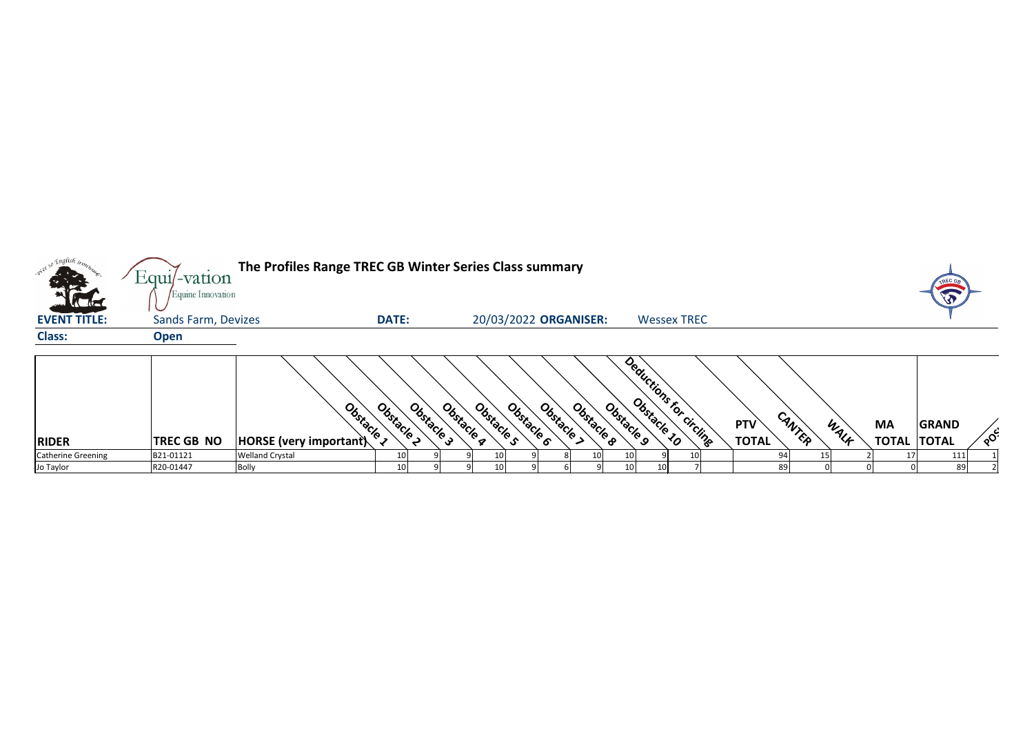| <sub>so</sub> English i <sub>rop.</sub> | The Profiles Range TREC GB Winter Series Class summary<br>Equil-vation<br>Equine Innovation |                                    |              |                          |            |                          |            |                                       |                    |  |                            |        |      |                           |                              |          |
|-----------------------------------------|---------------------------------------------------------------------------------------------|------------------------------------|--------------|--------------------------|------------|--------------------------|------------|---------------------------------------|--------------------|--|----------------------------|--------|------|---------------------------|------------------------------|----------|
| <b>CALLES</b><br><b>EVENT TITLE:</b>    | <b>Sands Farm, Devizes</b>                                                                  |                                    | <b>DATE:</b> |                          |            | 20/03/2022 ORGANISER:    |            |                                       | <b>Wessex TREC</b> |  |                            |        |      |                           |                              |          |
| <b>Class:</b>                           | <b>Open</b>                                                                                 |                                    |              |                          |            |                          |            |                                       |                    |  |                            |        |      |                           |                              |          |
| <b>RIDER</b>                            | TREC GB NO                                                                                  | Obstacle<br>HORSE (very important) | Obstacle I   | Obstacle 3<br>Obstacle a | Obstacle s | Obstacle ><br>Obstacle 6 | Obstacle 8 | Deductions for circling<br>Obstacle 9 |                    |  | <b>PTV</b><br><b>TOTAL</b> | CANTER | WALF | <b>MA</b><br><b>TOTAL</b> | <b>GRAND</b><br><b>TOTAL</b> | $\delta$ |
| <b>Catherine Greening</b>               | B21-01121                                                                                   | <b>Welland Crystal</b>             | 10           |                          |            |                          |            |                                       |                    |  |                            |        |      |                           | 111                          |          |
| Jo Taylor                               | R20-01447                                                                                   | <b>Bolly</b>                       | 10           |                          | 10         |                          |            |                                       |                    |  | 89                         |        |      |                           | 89                           |          |

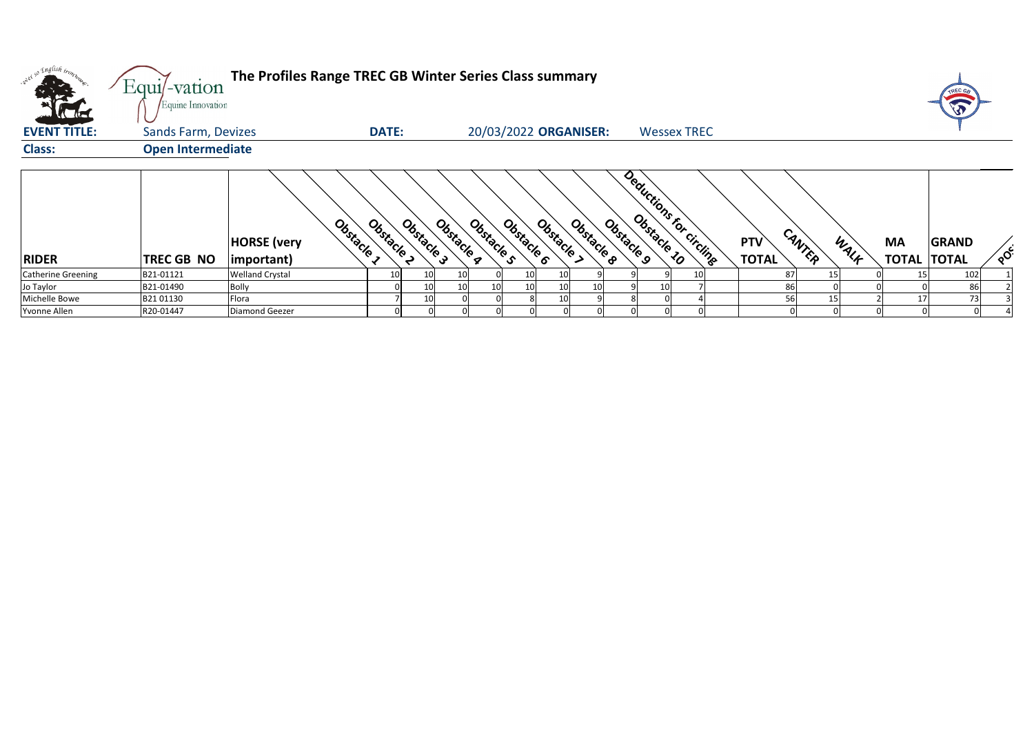| <b>CALLES</b>             | Equi/-vation<br>Equine Innovation | The Profiles Range TREC GB Winter Series Class summary             |              |            |            |            |            |                       |            |            |    |                         |                            |        |      |                                 |              |    |
|---------------------------|-----------------------------------|--------------------------------------------------------------------|--------------|------------|------------|------------|------------|-----------------------|------------|------------|----|-------------------------|----------------------------|--------|------|---------------------------------|--------------|----|
| <b>EVENT TITLE:</b>       | <b>Sands Farm, Devizes</b>        |                                                                    | <b>DATE:</b> |            |            |            |            | 20/03/2022 ORGANISER: |            |            |    | <b>Wessex TREC</b>      |                            |        |      |                                 |              |    |
| <b>Class:</b>             | <b>Open Intermediate</b>          |                                                                    |              |            |            |            |            |                       |            |            |    |                         |                            |        |      |                                 |              |    |
| <b>RIDER</b>              | <b>TREC GB NO</b>                 | Obstacle <sub>3</sub><br><b>HORSE</b> (very<br>$ important\rangle$ | Obstacle >   | Obstacle 3 | Obstacle g | Obstacle s | Obstacle 6 | Obstacle              | Obstacle 8 | Obstacle 9 |    | Deductions for circling | <b>PTV</b><br><b>TOTAL</b> | CANTER | WALF | <b>MA</b><br><b>TOTAL TOTAL</b> | <b>GRAND</b> | ໌ດ |
| <b>Catherine Greening</b> | B21-01121                         | <b>Welland Crystal</b>                                             |              | 10         |            |            |            |                       |            |            |    |                         |                            | 87     |      |                                 | 102          |    |
| Jo Taylor                 | B21-01490                         | <b>Bolly</b>                                                       |              | 10         |            | 10         |            |                       | 10         |            | 10 |                         |                            | 86     |      |                                 | 86           |    |
| Michelle Bowe             | B2101130                          | Flora                                                              |              | 10         |            |            |            |                       |            |            |    |                         |                            | 56     | 15   | 17                              | 73           |    |
| Yvonne Allen              | R20-01447                         | <b>Diamond Geezer</b>                                              |              |            |            |            |            |                       |            |            |    |                         |                            |        |      |                                 |              |    |



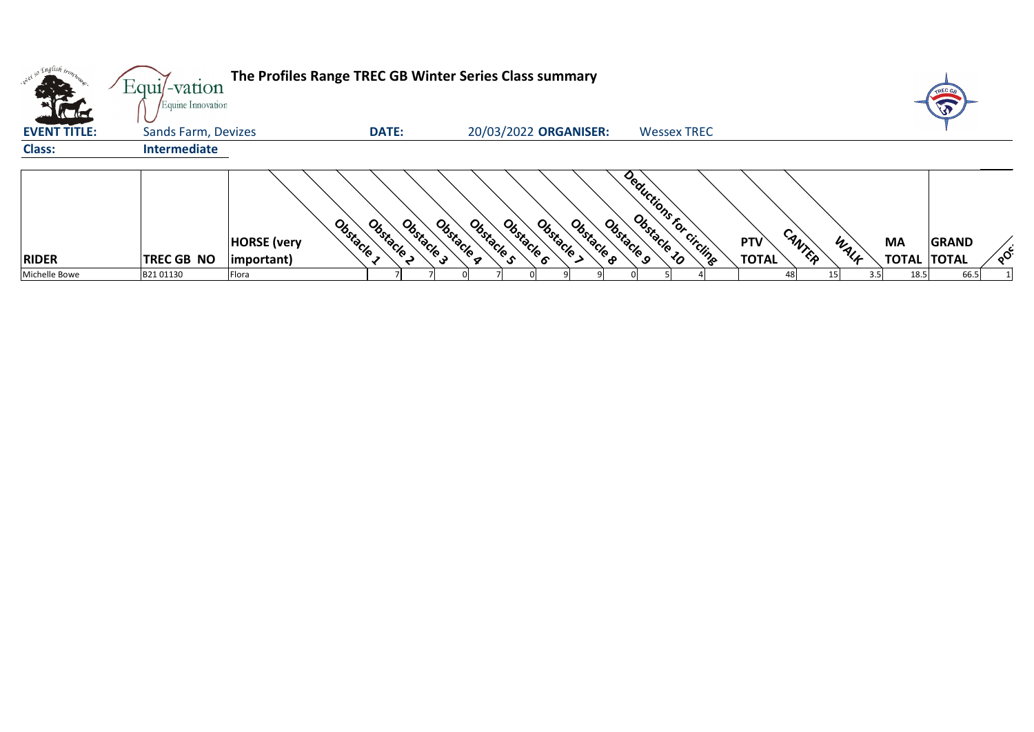| orel so English in<br><b>COLLECTION</b> | Equil-vation<br>Equine Innovation | The Profiles Range TREC GB Winter Series Class summary |                                        |                          |                                      |                                       |                            |                |           | TREC GE                            |        |
|-----------------------------------------|-----------------------------------|--------------------------------------------------------|----------------------------------------|--------------------------|--------------------------------------|---------------------------------------|----------------------------|----------------|-----------|------------------------------------|--------|
| <b>EVENT TITLE:</b>                     | <b>Sands Farm, Devizes</b>        |                                                        | <b>DATE:</b>                           |                          | 20/03/2022 ORGANISER:                | <b>Wessex TREC</b>                    |                            |                |           |                                    |        |
| <b>Class:</b>                           | <b>Intermediate</b>               |                                                        |                                        |                          |                                      |                                       |                            |                |           |                                    |        |
| <b>RIDER</b>                            | <b>TREC GB NO</b>                 | <b>HORSE</b> (very<br>$ $ important $)$                | Obstacle 1<br>Obstacle 3<br>Obstacle I | Obstacle a<br>Obstacle s | Obstacle 8<br>Obstacle<br>Obstacle 6 | Deductions for circling<br>Obstacle 9 | <b>PTV</b><br><b>TOTAL</b> | CANTER<br>WALK | <b>MA</b> | <b>GRAND</b><br><b>TOTAL TOTAL</b> | $\sim$ |
| Michelle Bowe                           | B2101130                          | Flora                                                  |                                        |                          |                                      |                                       | 48 I                       | 3.5            | 18.5      | 66.5                               |        |



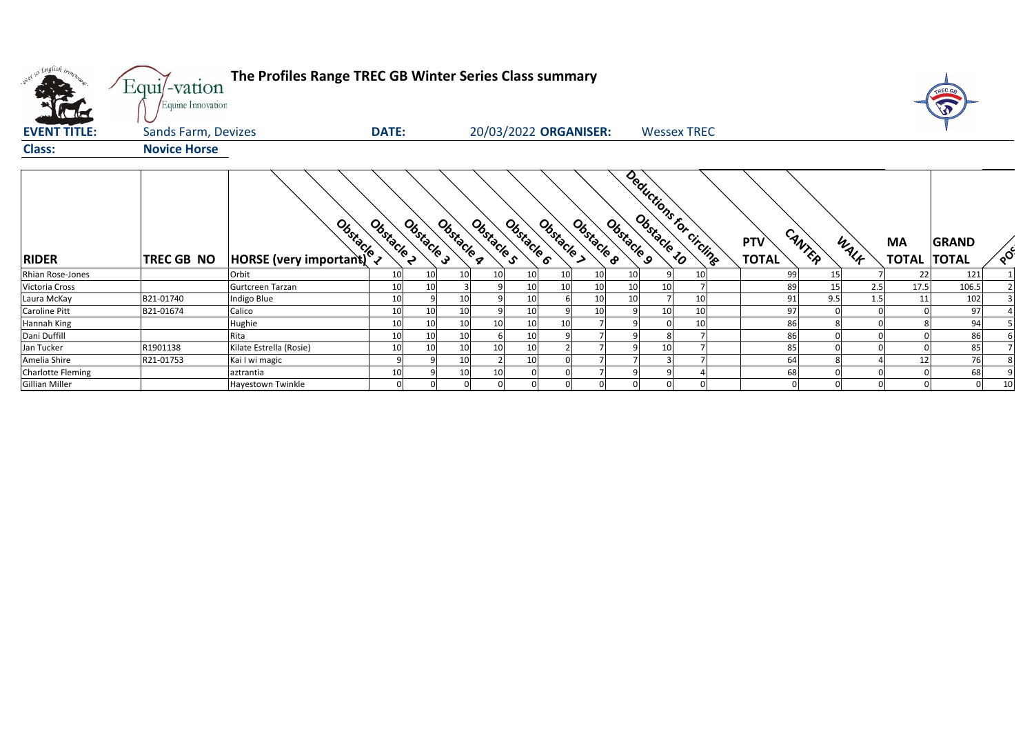| oner so English trom.<br><b>EVENT TITLE:</b> | Equi/-vation<br>Equine Innovation<br><b>Sands Farm, Devizes</b> | The Profiles Range TREC GB Winter Series Class summary<br><b>DATE:</b> |            |            |            |            | 20/03/2022 ORGANISER: |            |                |    | <b>Wessex TREC</b>      |                            |        |      |                           | TREC GE                      |                             |
|----------------------------------------------|-----------------------------------------------------------------|------------------------------------------------------------------------|------------|------------|------------|------------|-----------------------|------------|----------------|----|-------------------------|----------------------------|--------|------|---------------------------|------------------------------|-----------------------------|
| <b>Class:</b>                                | <b>Novice Horse</b>                                             |                                                                        |            |            |            |            |                       |            |                |    |                         |                            |        |      |                           |                              |                             |
| <b>RIDER</b>                                 | TREC GB NO                                                      | Obstacle 2                                                             | Obstacle 3 | Obstacle 4 | Obstacle s | Obstacle 6 | Obstacle >            | Obstacle 8 | Obstacle 9     |    | Deductions for circline | <b>PTV</b><br><b>TOTAL</b> | CANTER | WALK | <b>MA</b><br><b>TOTAL</b> | <b>GRAND</b><br><b>TOTAL</b> | $\sqrt{\frac{c}{\sqrt{2}}}$ |
| Rhian Rose-Jones                             |                                                                 | Orbit<br>10                                                            |            | 10         | -10        | 10         | 10                    | 10         | 10             |    | 10                      | 99                         |        |      | 22                        | 121                          |                             |
| Victoria Cross                               |                                                                 | Gurtcreen Tarzan<br>10                                                 |            |            |            | 10         | 10 <sup>1</sup>       | 10         | 10             | 10 |                         | 89                         |        | 2.5  | 17.5                      | 106.5                        |                             |
| Laura McKay                                  | B21-01740                                                       | 10<br>Indigo Blue                                                      |            | 10         |            | 10         |                       | 10         | 10             |    | 10                      | 91                         | 9.5    | 1.5  | 11                        | 102                          |                             |
| Caroline Pitt                                | B21-01674                                                       | 10<br>Calico                                                           |            | 10         |            | 10         | $\mathsf{q}$          | 10         | -91            | 10 | 10                      | 97                         |        |      |                           | 97                           |                             |
| Hannah King                                  |                                                                 | Hughie<br>10                                                           |            | 10         | 10         | 10         | 10                    |            |                |    | 10                      | 86                         |        |      |                           | 94                           |                             |
| Dani Duffill                                 |                                                                 | 10<br>Rita                                                             |            | 10         |            | 10         |                       |            |                |    |                         | 86                         |        |      |                           | 86                           |                             |
| Jan Tucker                                   | R1901138                                                        | Kilate Estrella (Rosie)<br>10                                          |            | 10         |            | 10         |                       |            |                | 10 |                         | 85                         |        |      |                           | 85                           |                             |
| Amelia Shire                                 | R21-01753                                                       | Kai I wi magic                                                         |            | 10         |            | 10         |                       |            |                |    |                         | 64                         |        |      | 12                        | 76                           |                             |
| <b>Charlotte Fleming</b>                     |                                                                 | 10<br>aztrantia                                                        |            | 10         | 10         |            |                       |            |                |    |                         | 68                         |        |      |                           | 68                           |                             |
| <b>Gillian Miller</b>                        |                                                                 | Hayestown Twinkle                                                      |            |            |            |            |                       |            | $\overline{0}$ |    |                         |                            |        |      |                           |                              | 10                          |

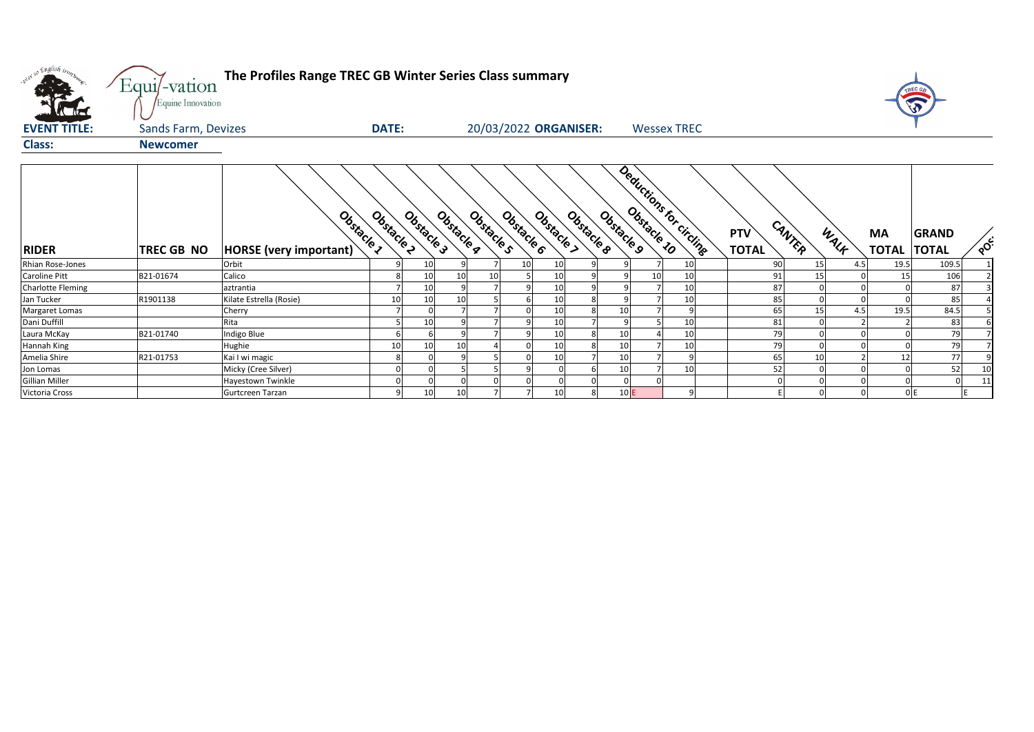| onel so English tronh                     | Equi/-vation<br>Equine Innovation | The Profiles Range TREC GB Winter Series Class summary |              |            |            |                          |                        |                 |                         |                                      |                            |              | TREC G                       |     |
|-------------------------------------------|-----------------------------------|--------------------------------------------------------|--------------|------------|------------|--------------------------|------------------------|-----------------|-------------------------|--------------------------------------|----------------------------|--------------|------------------------------|-----|
| <b>EVENT TITLE:</b>                       | <b>Sands Farm, Devizes</b>        |                                                        | <b>DATE:</b> |            |            |                          | 20/03/2022 ORGANISER:  |                 | <b>Wessex TREC</b>      |                                      |                            |              |                              |     |
| <b>Class:</b>                             | <b>Newcomer</b>                   |                                                        |              |            |            |                          |                        |                 |                         |                                      |                            |              |                              |     |
| <b>RIDER</b>                              | <b>TREC GB NO</b>                 | Obstacle 1<br><b>HORSE</b> (very important)            | Obsitacle 2  | Obstacle 3 | Obstacle a | Obstacle 6<br>Obstacle s | Obstacle &<br>Obstacle | Obstacle 9      | Deductions for circling | CANTER<br><b>PTV</b><br><b>TOTAL</b> | WALF<br><b>MA</b>          | <b>TOTAL</b> | <b>GRAND</b><br><b>TOTAL</b> | POC |
| Rhian Rose-Jones                          |                                   | Orbit                                                  |              | 10         |            | 10                       | 10                     |                 | 10                      | 90                                   | 15<br>4.5                  | 19.5         | 109.5                        |     |
| Caroline Pitt<br><b>Charlotte Fleming</b> | B21-01674                         | Calico<br>aztrantia                                    |              | 10<br>10   | 10         | 10                       | 10<br>10               | 10 <sup>1</sup> | 10<br>10                | 91<br>87                             | 15<br>$\Omega$<br>$\Omega$ | -15          | 106<br>87                    |     |
| Jan Tucker                                | R1901138                          | Kilate Estrella (Rosie)                                |              | 10         |            |                          | 10<br>8l               |                 | 10                      | 85                                   | $\Omega$                   |              | 85                           |     |
| <b>Margaret Lomas</b>                     |                                   | Cherry                                                 |              |            |            |                          | 10                     | 10              | 9                       | 65                                   | 15<br>4.5                  | 19.5         | 84.5                         |     |
| Dani Duffill                              |                                   | Rita                                                   |              | 10         |            |                          | 10                     |                 | 10                      | 81                                   |                            |              | 83                           |     |
| Laura McKay                               | B21-01740                         | Indigo Blue                                            |              |            |            |                          | 10<br>8                | 10              | 10                      | 79                                   |                            |              | 79                           |     |
| Hannah King                               |                                   | Hughie                                                 |              | 10         |            |                          | 10                     | 10              | 10                      | 79                                   |                            |              | 79                           |     |
| Amelia Shire                              | R21-01753                         | Kai I wi magic                                         |              |            |            |                          | 10                     | 10              | 9                       | 65                                   | 10                         |              | 77                           |     |
| Jon Lomas                                 |                                   | Micky (Cree Silver)                                    |              |            |            |                          |                        | 10              | 10                      | 52                                   | $\mathbf{0}$               |              | 52                           | 10  |
| Gillian Miller                            |                                   | <b>Hayestown Twinkle</b>                               |              |            |            |                          |                        |                 |                         | $\Omega$                             | $\Omega$                   |              | $\Omega$                     | 11  |
| Victoria Cross                            |                                   | Gurtcreen Tarzan                                       |              | 10         | 10         |                          | 10<br>8l               | $10$ E          | 9 <sub>l</sub>          |                                      | $\Omega$                   |              | O E                          |     |

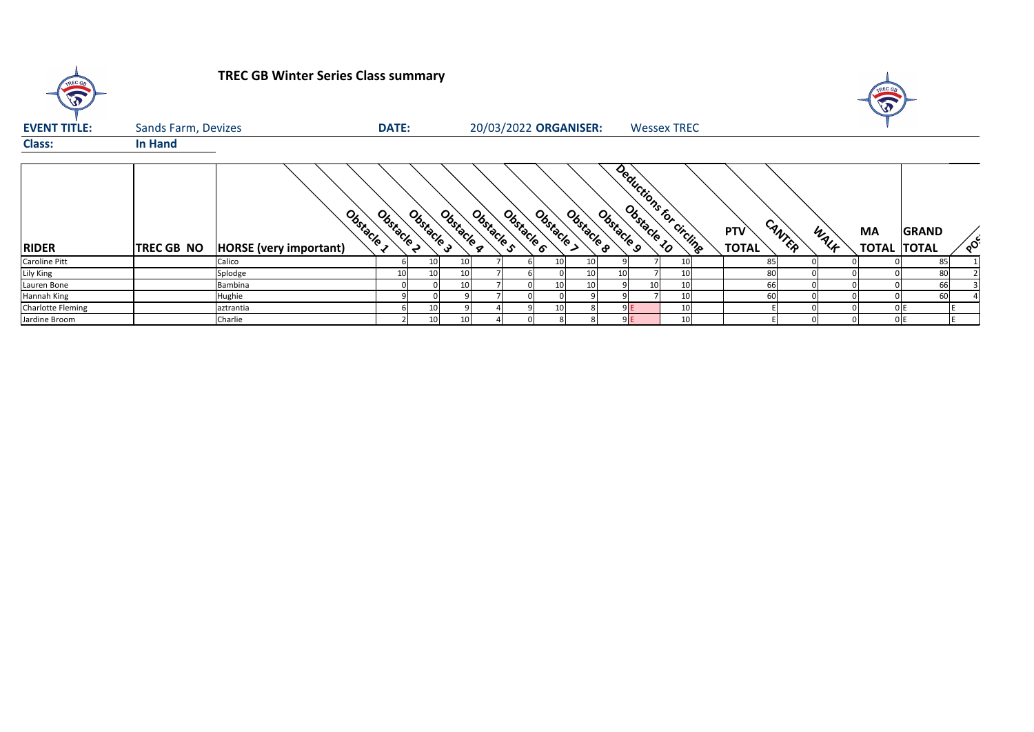

## **TREC GB Winter Series Class summary**

| <b>EVENT TITLE:</b> | <b>Sands Farm, Devizes</b> |                                             | <b>DATE:</b> |            |                 |            | 20/03/2022 ORGANISER: |          |            |                 | <b>Wessex TREC</b>       |                            |        |      |                           |                              |          |
|---------------------|----------------------------|---------------------------------------------|--------------|------------|-----------------|------------|-----------------------|----------|------------|-----------------|--------------------------|----------------------------|--------|------|---------------------------|------------------------------|----------|
| <b>Class:</b>       | <b>In Hand</b>             |                                             |              |            |                 |            |                       |          |            |                 |                          |                            |        |      |                           |                              |          |
| <b>RIDER</b>        | <b>TREC GB NO</b>          | Obstacle 1<br><b>HORSE</b> (very important) | Obstacle     | Obstacle 3 | Obstacle g      | Obstacle s | Obstacle 6            | Obstacle | Obstacle 8 | Obstacle 9      | Deductions for circlinge | <b>PTV</b><br><b>TOTAL</b> | CANTER | WALF | <b>MA</b><br><b>TOTAL</b> | <b>GRAND</b><br><b>TOTAL</b> | $\delta$ |
| Caroline Pitt       |                            | Calico                                      |              |            | 10 <sup>1</sup> |            |                       |          |            |                 | 10                       | -85 I                      |        |      |                           | 85                           |          |
| Lily King           |                            | Splodge                                     | 10           |            | 10              |            |                       |          |            | 10 <sub>l</sub> | 10                       | 80                         |        |      |                           | 80                           |          |
| Lauren Bone         |                            | Bambina                                     |              |            | 10 <sub>l</sub> |            |                       |          |            | 10 <sup>1</sup> | 10                       | 66                         |        |      |                           | 66                           |          |
| Hannah King         |                            | Hughie                                      |              |            |                 |            |                       |          |            |                 | 10                       | 60                         |        |      |                           | 60                           |          |
| Charlotte Fleming   |                            | aztrantia                                   |              |            |                 |            |                       |          |            | 9 E             | 10                       |                            |        |      |                           | 0 E                          |          |
| Jardine Broom       |                            | Charlie                                     |              |            | 10              |            |                       |          |            | 9 E I           | 10                       |                            |        |      |                           | 0 IE                         |          |